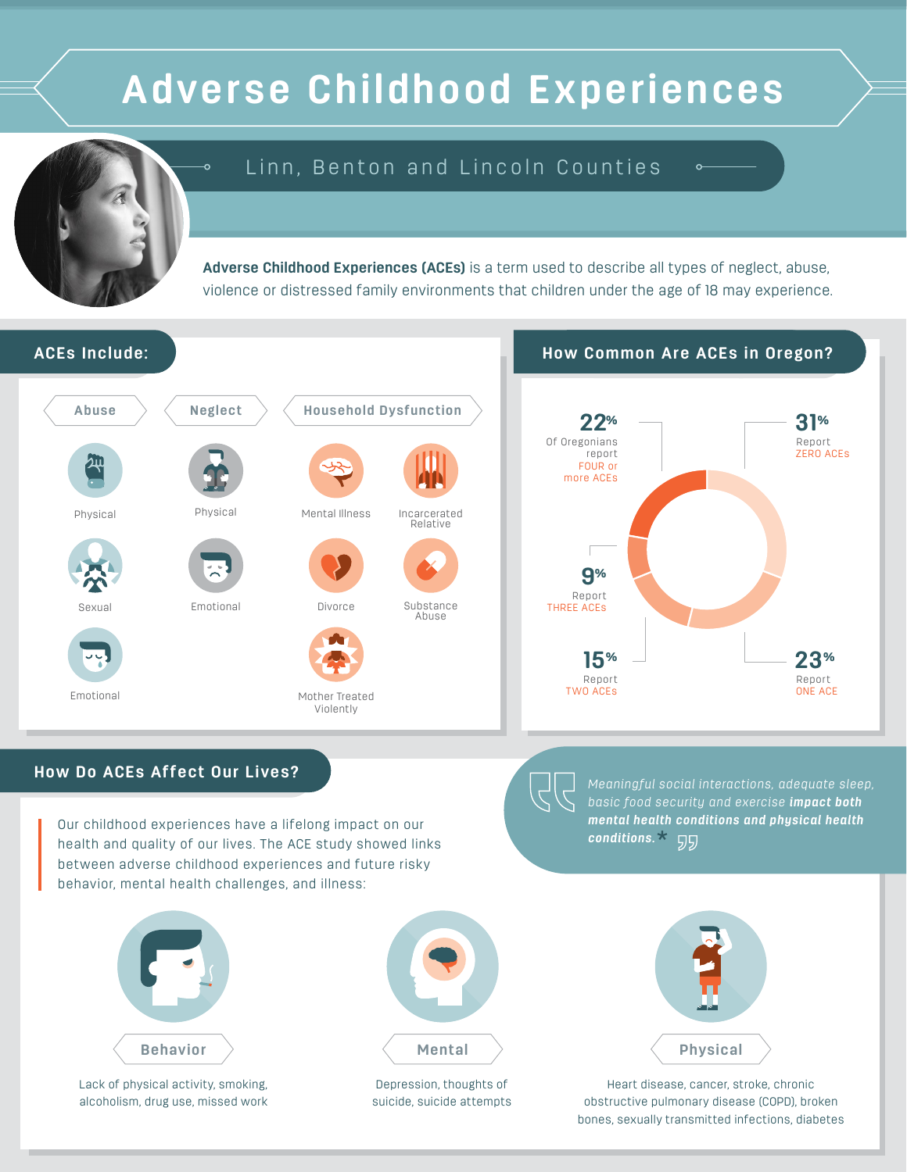# **Adverse Childhood Experiences**

## Linn, Benton and Lincoln Counties

**Adverse Childhood Experiences (ACEs)** is a term used to describe all types of neglect, abuse, violence or distressed family environments that children under the age of 18 may experience.







Sexual Emotional



Mother Treated Violently

#### **ACEs Include: How Common Are ACEs in Oregon?**



### **How Do ACEs Affect Our Lives?**

Our childhood experiences have a lifelong impact on our health and quality of our lives. The ACE study showed links between adverse childhood experiences and future risky behavior, mental health challenges, and illness:



Lack of physical activity, smoking, alcoholism, drug use, missed work



Depression, thoughts of suicide, suicide attempts Meaningful social interactions, adequate sleep, basic food security and exercise **impact both mental health conditions and physical health conditions.**<sup>\*</sup> 55



Heart disease, cancer, stroke, chronic obstructive pulmonary disease (COPD), broken bones, sexually transmitted infections, diabetes